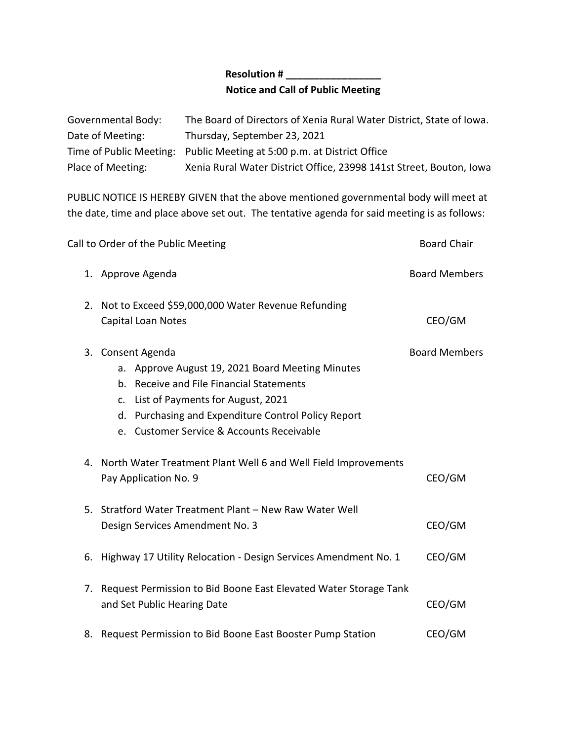## **Resolution # \_\_\_\_\_\_\_\_\_\_\_\_\_\_\_\_\_ Notice and Call of Public Meeting**

| Governmental Body: | The Board of Directors of Xenia Rural Water District, State of Iowa.   |
|--------------------|------------------------------------------------------------------------|
| Date of Meeting:   | Thursday, September 23, 2021                                           |
|                    | Time of Public Meeting: Public Meeting at 5:00 p.m. at District Office |
| Place of Meeting:  | Xenia Rural Water District Office, 23998 141st Street, Bouton, Iowa    |

PUBLIC NOTICE IS HEREBY GIVEN that the above mentioned governmental body will meet at the date, time and place above set out. The tentative agenda for said meeting is as follows:

| Call to Order of the Public Meeting | <b>Board Chair</b>                                                                                                                                                                                                                                            |                      |
|-------------------------------------|---------------------------------------------------------------------------------------------------------------------------------------------------------------------------------------------------------------------------------------------------------------|----------------------|
|                                     | 1. Approve Agenda                                                                                                                                                                                                                                             | <b>Board Members</b> |
| 2.                                  | Not to Exceed \$59,000,000 Water Revenue Refunding<br>Capital Loan Notes                                                                                                                                                                                      | CEO/GM               |
|                                     | 3. Consent Agenda<br>a. Approve August 19, 2021 Board Meeting Minutes<br>b. Receive and File Financial Statements<br>c. List of Payments for August, 2021<br>d. Purchasing and Expenditure Control Policy Report<br>e. Customer Service & Accounts Receivable | <b>Board Members</b> |
|                                     | 4. North Water Treatment Plant Well 6 and Well Field Improvements<br>Pay Application No. 9                                                                                                                                                                    | CEO/GM               |
|                                     | 5. Stratford Water Treatment Plant - New Raw Water Well<br>Design Services Amendment No. 3                                                                                                                                                                    | CEO/GM               |
|                                     | 6. Highway 17 Utility Relocation - Design Services Amendment No. 1                                                                                                                                                                                            | CEO/GM               |
|                                     | 7. Request Permission to Bid Boone East Elevated Water Storage Tank<br>and Set Public Hearing Date                                                                                                                                                            | CEO/GM               |
| 8.                                  | Request Permission to Bid Boone East Booster Pump Station                                                                                                                                                                                                     | CEO/GM               |